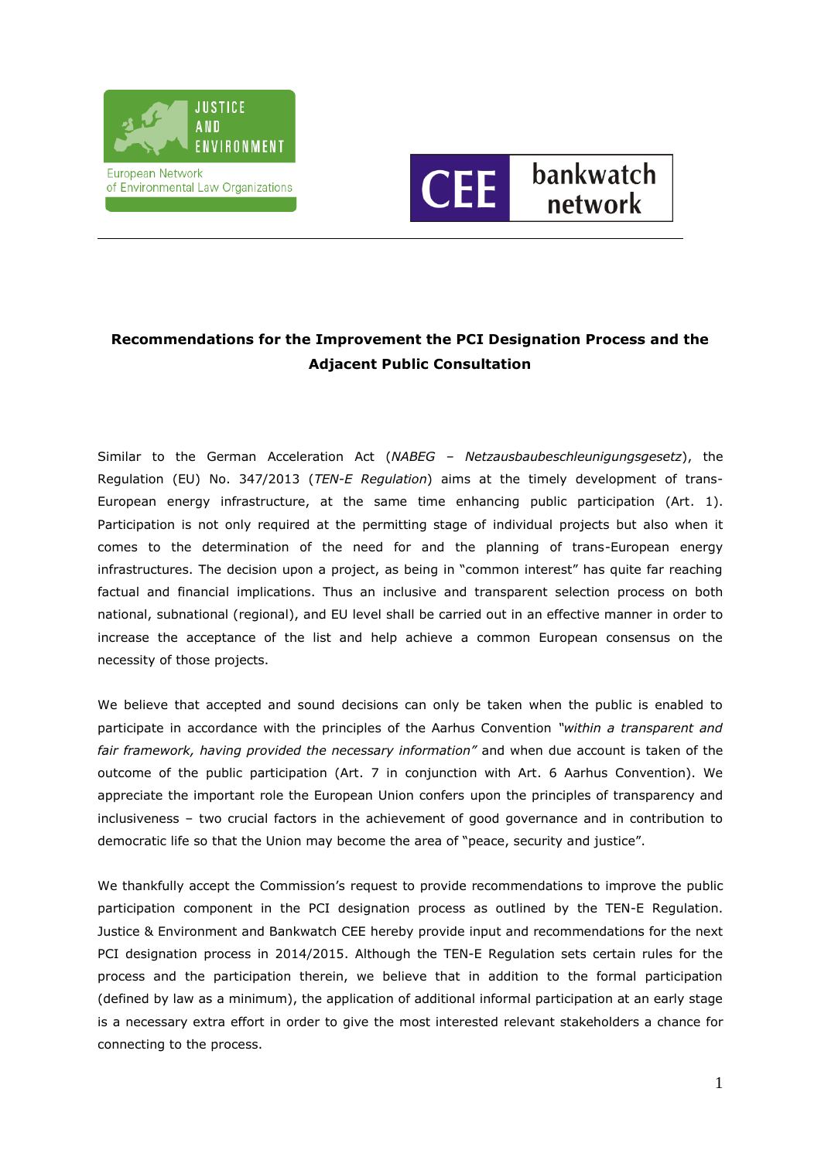



# **Recommendations for the Improvement the PCI Designation Process and the Adjacent Public Consultation**

Similar to the German Acceleration Act (*NABEG – Netzausbaubeschleunigungsgesetz*), the Regulation (EU) No. 347/2013 (*TEN-E Regulation*) aims at the timely development of trans-European energy infrastructure, at the same time enhancing public participation (Art. 1). Participation is not only required at the permitting stage of individual projects but also when it comes to the determination of the need for and the planning of trans-European energy infrastructures. The decision upon a project, as being in "common interest" has quite far reaching factual and financial implications. Thus an inclusive and transparent selection process on both national, subnational (regional), and EU level shall be carried out in an effective manner in order to increase the acceptance of the list and help achieve a common European consensus on the necessity of those projects.

We believe that accepted and sound decisions can only be taken when the public is enabled to participate in accordance with the principles of the Aarhus Convention *"within a transparent and fair framework, having provided the necessary information"* and when due account is taken of the outcome of the public participation (Art. 7 in conjunction with Art. 6 Aarhus Convention). We appreciate the important role the European Union confers upon the principles of transparency and inclusiveness – two crucial factors in the achievement of good governance and in contribution to democratic life so that the Union may become the area of "peace, security and justice".

We thankfully accept the Commission's request to provide recommendations to improve the public participation component in the PCI designation process as outlined by the TEN-E Regulation. Justice & Environment and Bankwatch CEE hereby provide input and recommendations for the next PCI designation process in 2014/2015. Although the TEN-E Regulation sets certain rules for the process and the participation therein, we believe that in addition to the formal participation (defined by law as a minimum), the application of additional informal participation at an early stage is a necessary extra effort in order to give the most interested relevant stakeholders a chance for connecting to the process.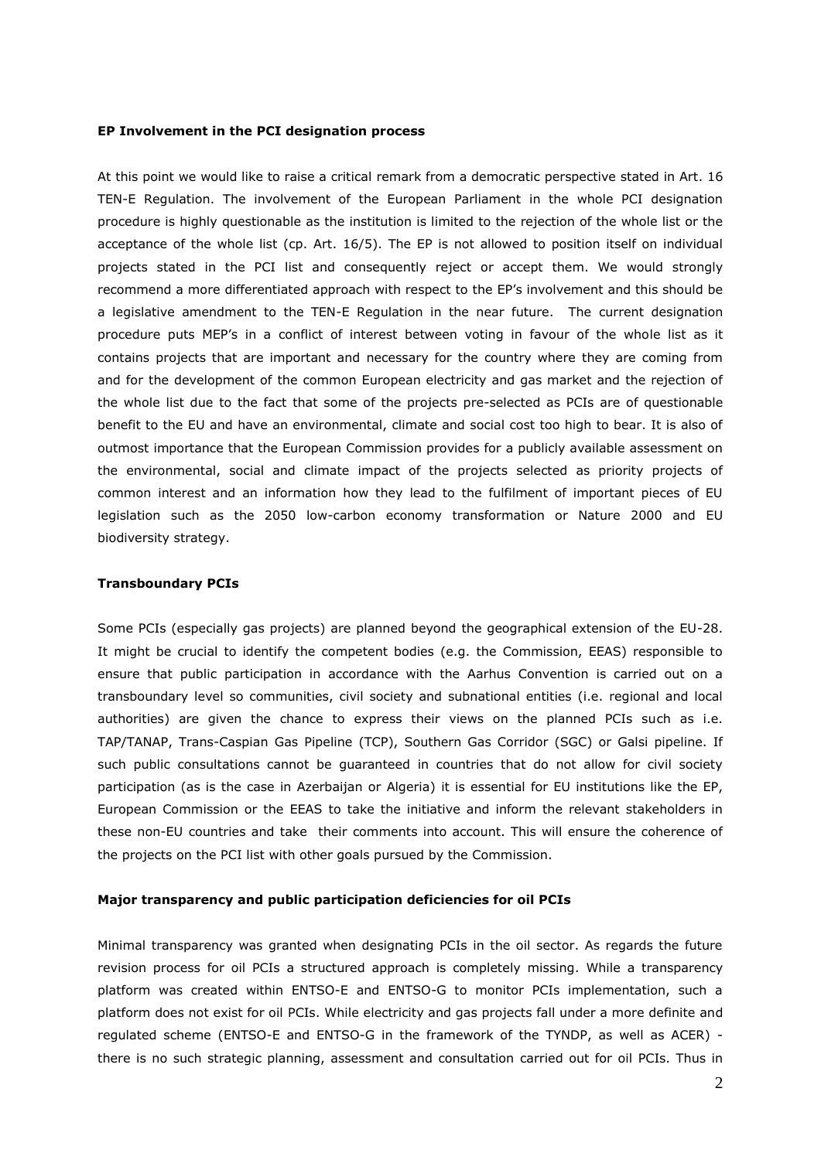#### **EP Involvement in the PCI designation process**

At this point we would like to raise a critical remark from a democratic perspective stated in Art. 16 TEN-E Regulation. The involvement of the European Parliament in the whole PCI designation procedure is highly questionable as the institution is limited to the rejection of the whole list or the acceptance of the whole list (cp. Art. 16/5). The EP is not allowed to position itself on individual projects stated in the PCI list and consequently reject or accept them. We would strongly recommend a more differentiated approach with respect to the EP's involvement and this should be a legislative amendment to the TEN-E Regulation in the near future. The current designation procedure puts MEP's in a conflict of interest between voting in favour of the whole list as it contains projects that are important and necessary for the country where they are coming from and for the development of the common European electricity and gas market and the rejection of the whole list due to the fact that some of the projects pre-selected as PCIs are of questionable benefit to the EU and have an environmental, climate and social cost too high to bear. It is also of outmost importance that the European Commission provides for a publicly available assessment on the environmental, social and climate impact of the projects selected as priority projects of common interest and an information how they lead to the fulfilment of important pieces of EU legislation such as the 2050 low-carbon economy transformation or Nature 2000 and EU biodiversity strategy.

#### **Transboundary PCIs**

Some PCIs (especially gas projects) are planned beyond the geographical extension of the EU-28. It might be crucial to identify the competent bodies (e.g. the Commission, EEAS) responsible to ensure that public participation in accordance with the Aarhus Convention is carried out on a transboundary level so communities, civil society and subnational entities (i.e. regional and local authorities) are given the chance to express their views on the planned PCIs such as i.e. TAP/TANAP, Trans-Caspian Gas Pipeline (TCP), Southern Gas Corridor (SGC) or Galsi pipeline. If such public consultations cannot be guaranteed in countries that do not allow for civil society participation (as is the case in Azerbaijan or Algeria) it is essential for EU institutions like the EP, European Commission or the EEAS to take the initiative and inform the relevant stakeholders in these non-EU countries and take their comments into account. This will ensure the coherence of the projects on the PCI list with other goals pursued by the Commission.

#### **Major transparency and public participation deficiencies for oil PCIs**

Minimal transparency was granted when designating PCIs in the oil sector. As regards the future revision process for oil PCIs a structured approach is completely missing. While a transparency platform was created within ENTSO-E and ENTSO-G to monitor PCIs implementation, such a platform does not exist for oil PCIs. While electricity and gas projects fall under a more definite and regulated scheme (ENTSO-E and ENTSO-G in the framework of the TYNDP, as well as ACER) there is no such strategic planning, assessment and consultation carried out for oil PCIs. Thus in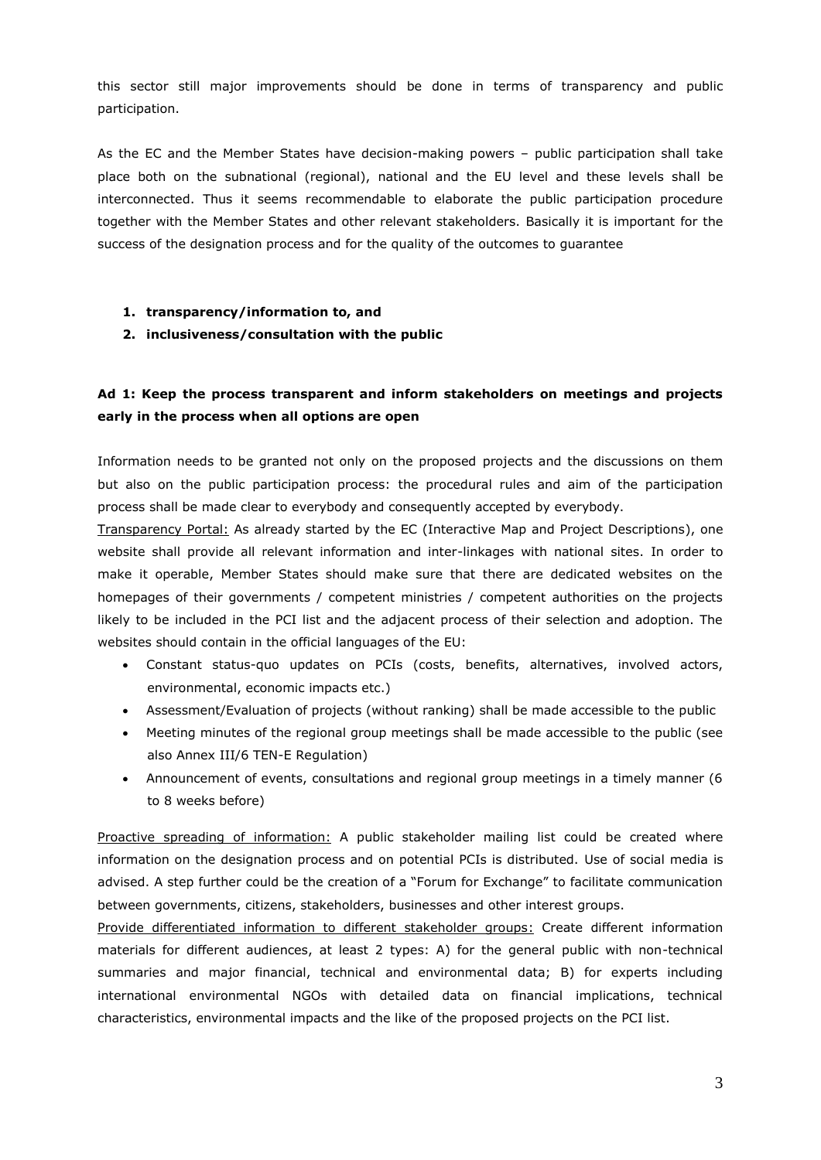this sector still major improvements should be done in terms of transparency and public participation.

As the EC and the Member States have decision-making powers – public participation shall take place both on the subnational (regional), national and the EU level and these levels shall be interconnected. Thus it seems recommendable to elaborate the public participation procedure together with the Member States and other relevant stakeholders. Basically it is important for the success of the designation process and for the quality of the outcomes to guarantee

### **1. transparency/information to, and**

**2. inclusiveness/consultation with the public**

## **Ad 1: Keep the process transparent and inform stakeholders on meetings and projects early in the process when all options are open**

Information needs to be granted not only on the proposed projects and the discussions on them but also on the public participation process: the procedural rules and aim of the participation process shall be made clear to everybody and consequently accepted by everybody.

Transparency Portal: As already started by the EC (Interactive Map and Project Descriptions), one website shall provide all relevant information and inter-linkages with national sites. In order to make it operable, Member States should make sure that there are dedicated websites on the homepages of their governments / competent ministries / competent authorities on the projects likely to be included in the PCI list and the adjacent process of their selection and adoption. The websites should contain in the official languages of the EU:

- Constant status-quo updates on PCIs (costs, benefits, alternatives, involved actors, environmental, economic impacts etc.)
- Assessment/Evaluation of projects (without ranking) shall be made accessible to the public
- Meeting minutes of the regional group meetings shall be made accessible to the public (see also Annex III/6 TEN-E Regulation)
- Announcement of events, consultations and regional group meetings in a timely manner (6 to 8 weeks before)

Proactive spreading of information: A public stakeholder mailing list could be created where information on the designation process and on potential PCIs is distributed. Use of social media is advised. A step further could be the creation of a "Forum for Exchange" to facilitate communication between governments, citizens, stakeholders, businesses and other interest groups.

Provide differentiated information to different stakeholder groups: Create different information materials for different audiences, at least 2 types: A) for the general public with non-technical summaries and major financial, technical and environmental data; B) for experts including international environmental NGOs with detailed data on financial implications, technical characteristics, environmental impacts and the like of the proposed projects on the PCI list.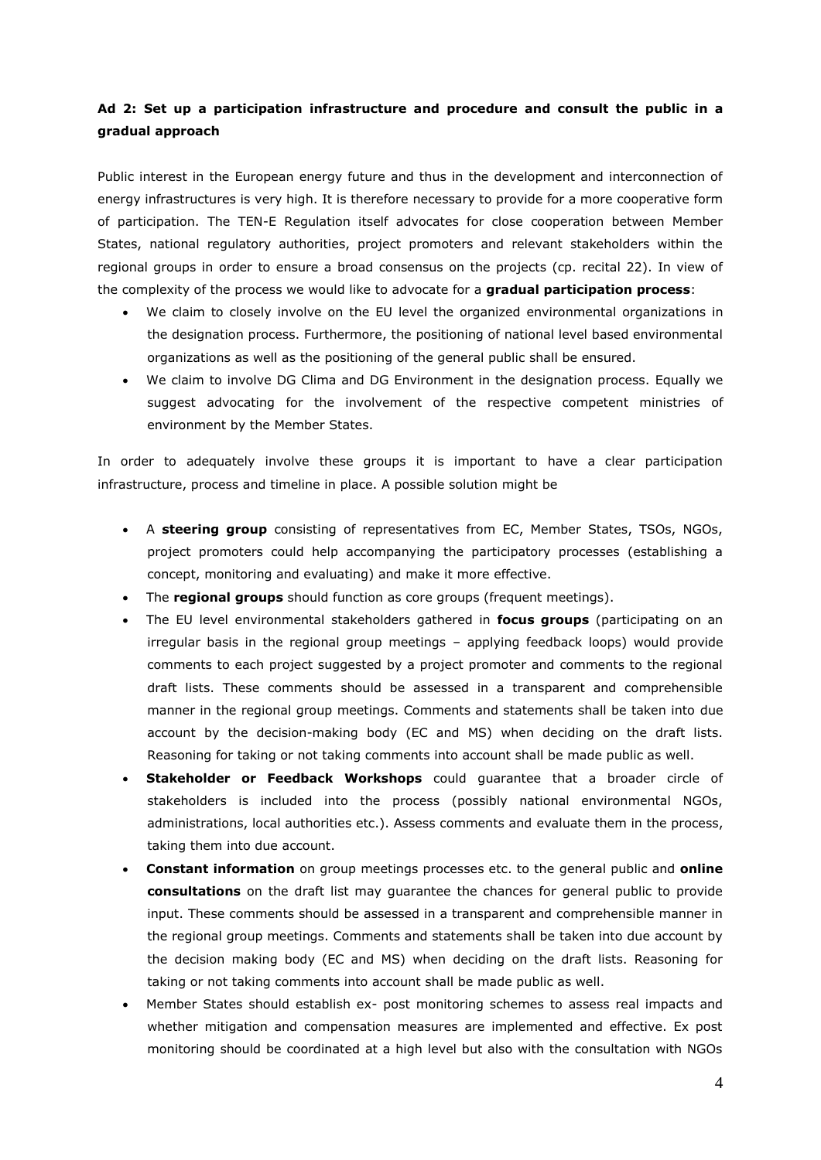## **Ad 2: Set up a participation infrastructure and procedure and consult the public in a gradual approach**

Public interest in the European energy future and thus in the development and interconnection of energy infrastructures is very high. It is therefore necessary to provide for a more cooperative form of participation. The TEN-E Regulation itself advocates for close cooperation between Member States, national regulatory authorities, project promoters and relevant stakeholders within the regional groups in order to ensure a broad consensus on the projects (cp. recital 22). In view of the complexity of the process we would like to advocate for a **gradual participation process**:

- We claim to closely involve on the EU level the organized environmental organizations in the designation process. Furthermore, the positioning of national level based environmental organizations as well as the positioning of the general public shall be ensured.
- We claim to involve DG Clima and DG Environment in the designation process. Equally we suggest advocating for the involvement of the respective competent ministries of environment by the Member States.

In order to adequately involve these groups it is important to have a clear participation infrastructure, process and timeline in place. A possible solution might be

- A **steering group** consisting of representatives from EC, Member States, TSOs, NGOs, project promoters could help accompanying the participatory processes (establishing a concept, monitoring and evaluating) and make it more effective.
- The **regional groups** should function as core groups (frequent meetings).
- The EU level environmental stakeholders gathered in **focus groups** (participating on an irregular basis in the regional group meetings – applying feedback loops) would provide comments to each project suggested by a project promoter and comments to the regional draft lists. These comments should be assessed in a transparent and comprehensible manner in the regional group meetings. Comments and statements shall be taken into due account by the decision-making body (EC and MS) when deciding on the draft lists. Reasoning for taking or not taking comments into account shall be made public as well.
- **Stakeholder or Feedback Workshops** could guarantee that a broader circle of stakeholders is included into the process (possibly national environmental NGOs, administrations, local authorities etc.). Assess comments and evaluate them in the process, taking them into due account.
- **Constant information** on group meetings processes etc. to the general public and **online consultations** on the draft list may guarantee the chances for general public to provide input. These comments should be assessed in a transparent and comprehensible manner in the regional group meetings. Comments and statements shall be taken into due account by the decision making body (EC and MS) when deciding on the draft lists. Reasoning for taking or not taking comments into account shall be made public as well.
- Member States should establish ex- post monitoring schemes to assess real impacts and whether mitigation and compensation measures are implemented and effective. Ex post monitoring should be coordinated at a high level but also with the consultation with NGOs